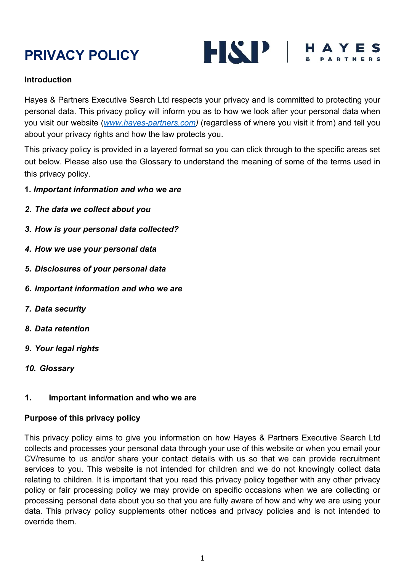# **PRIVACY POLICY**





#### **Introduction**

Hayes & Partners Executive Search Ltd respects your privacy and is committed to protecting your personal data. This privacy policy will inform you as to how we look after your personal data when you visit our website (*www.hayes-partners.com)* (regardless of where you visit it from) and tell you about your privacy rights and how the law protects you.

This privacy policy is provided in a layered format so you can click through to the specific areas set out below. Please also use the Glossary to understand the meaning of some of the terms used in this privacy policy.

- **1***. Important information and who we are*
- *2. The data we collect about you*
- *3. How is your personal data collected?*
- *4. How we use your personal data*
- *5. Disclosures of your personal data*
- *6. Important information and who we are*
- *7. Data security*
- *8. Data retention*
- *9. Your legal rights*
- *10. Glossary*

#### **1. Important information and who we are**

#### **Purpose of this privacy policy**

This privacy policy aims to give you information on how Hayes & Partners Executive Search Ltd collects and processes your personal data through your use of this website or when you email your CV/resume to us and/or share your contact details with us so that we can provide recruitment services to you. This website is not intended for children and we do not knowingly collect data relating to children. It is important that you read this privacy policy together with any other privacy policy or fair processing policy we may provide on specific occasions when we are collecting or processing personal data about you so that you are fully aware of how and why we are using your data. This privacy policy supplements other notices and privacy policies and is not intended to override them.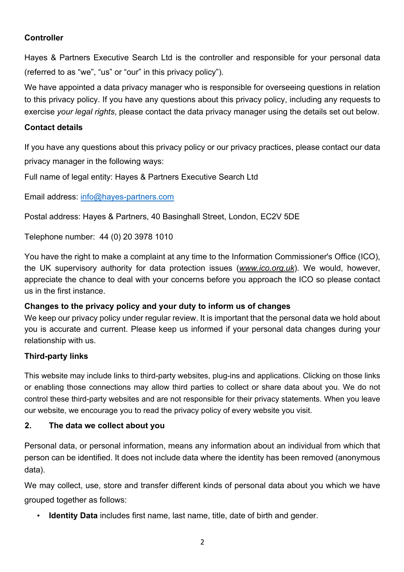## **Controller**

Hayes & Partners Executive Search Ltd is the controller and responsible for your personal data (referred to as "we", "us" or "our" in this privacy policy").

We have appointed a data privacy manager who is responsible for overseeing questions in relation to this privacy policy. If you have any questions about this privacy policy, including any requests to exercise *your legal rights*, please contact the data privacy manager using the details set out below.

#### **Contact details**

If you have any questions about this privacy policy or our privacy practices, please contact our data privacy manager in the following ways:

Full name of legal entity: Hayes & Partners Executive Search Ltd

Email address: info@hayes-partners.com

Postal address: Hayes & Partners, 40 Basinghall Street, London, EC2V 5DE

Telephone number: 44 (0) 20 3978 1010

You have the right to make a complaint at any time to the Information Commissioner's Office (ICO), the UK supervisory authority for data protection issues (*www.ico.org.uk*). We would, however, appreciate the chance to deal with your concerns before you approach the ICO so please contact us in the first instance.

## **Changes to the privacy policy and your duty to inform us of changes**

We keep our privacy policy under regular review. It is important that the personal data we hold about you is accurate and current. Please keep us informed if your personal data changes during your relationship with us.

## **Third-party links**

This website may include links to third-party websites, plug-ins and applications. Clicking on those links or enabling those connections may allow third parties to collect or share data about you. We do not control these third-party websites and are not responsible for their privacy statements. When you leave our website, we encourage you to read the privacy policy of every website you visit.

#### **2. The data we collect about you**

Personal data, or personal information, means any information about an individual from which that person can be identified. It does not include data where the identity has been removed (anonymous data).

We may collect, use, store and transfer different kinds of personal data about you which we have grouped together as follows:

• **Identity Data** includes first name, last name, title, date of birth and gender.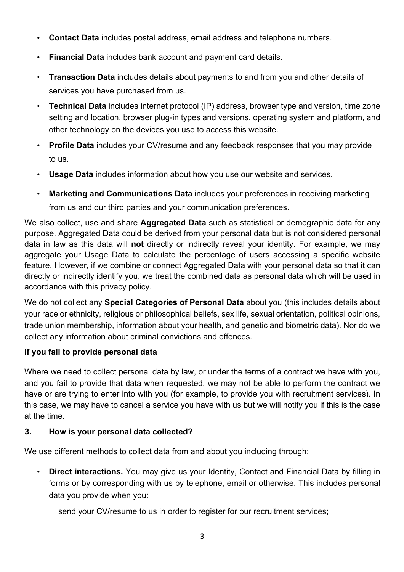- **Contact Data** includes postal address, email address and telephone numbers.
- **Financial Data** includes bank account and payment card details.
- **Transaction Data** includes details about payments to and from you and other details of services you have purchased from us.
- **Technical Data** includes internet protocol (IP) address, browser type and version, time zone setting and location, browser plug-in types and versions, operating system and platform, and other technology on the devices you use to access this website.
- **Profile Data** includes your CV/resume and any feedback responses that you may provide to us.
- **Usage Data** includes information about how you use our website and services.
- **Marketing and Communications Data** includes your preferences in receiving marketing from us and our third parties and your communication preferences.

We also collect, use and share **Aggregated Data** such as statistical or demographic data for any purpose. Aggregated Data could be derived from your personal data but is not considered personal data in law as this data will **not** directly or indirectly reveal your identity. For example, we may aggregate your Usage Data to calculate the percentage of users accessing a specific website feature. However, if we combine or connect Aggregated Data with your personal data so that it can directly or indirectly identify you, we treat the combined data as personal data which will be used in accordance with this privacy policy.

We do not collect any **Special Categories of Personal Data** about you (this includes details about your race or ethnicity, religious or philosophical beliefs, sex life, sexual orientation, political opinions, trade union membership, information about your health, and genetic and biometric data). Nor do we collect any information about criminal convictions and offences.

# **If you fail to provide personal data**

Where we need to collect personal data by law, or under the terms of a contract we have with you, and you fail to provide that data when requested, we may not be able to perform the contract we have or are trying to enter into with you (for example, to provide you with recruitment services). In this case, we may have to cancel a service you have with us but we will notify you if this is the case at the time.

## **3. How is your personal data collected?**

We use different methods to collect data from and about you including through:

• **Direct interactions.** You may give us your Identity, Contact and Financial Data by filling in forms or by corresponding with us by telephone, email or otherwise. This includes personal data you provide when you:

send your CV/resume to us in order to register for our recruitment services;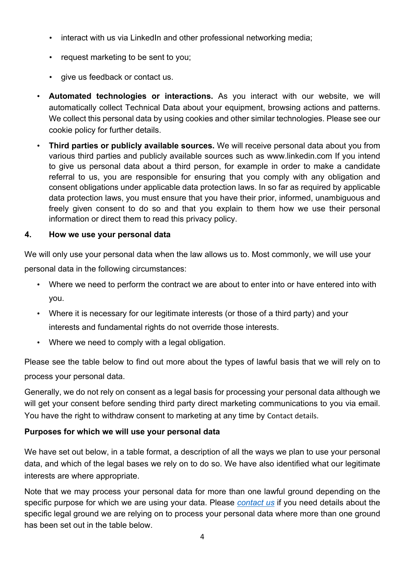- interact with us via LinkedIn and other professional networking media;
- request marketing to be sent to you;
- give us feedback or contact us.
- **Automated technologies or interactions.** As you interact with our website, we will automatically collect Technical Data about your equipment, browsing actions and patterns. We collect this personal data by using cookies and other similar technologies. Please see our cookie policy for further details.
- **Third parties or publicly available sources.** We will receive personal data about you from various third parties and publicly available sources such as www.linkedin.com If you intend to give us personal data about a third person, for example in order to make a candidate referral to us, you are responsible for ensuring that you comply with any obligation and consent obligations under applicable data protection laws. In so far as required by applicable data protection laws, you must ensure that you have their prior, informed, unambiguous and freely given consent to do so and that you explain to them how we use their personal information or direct them to read this privacy policy.

## **4. How we use your personal data**

We will only use your personal data when the law allows us to. Most commonly, we will use your personal data in the following circumstances:

- Where we need to perform the contract we are about to enter into or have entered into with you.
- Where it is necessary for our legitimate interests (or those of a third party) and your interests and fundamental rights do not override those interests.
- Where we need to comply with a legal obligation.

Please see the table below to find out more about the types of lawful basis that we will rely on to process your personal data.

Generally, we do not rely on consent as a legal basis for processing your personal data although we will get your consent before sending third party direct marketing communications to you via email. You have the right to withdraw consent to marketing at any time by Contact details*.*

#### **Purposes for which we will use your personal data**

We have set out below, in a table format, a description of all the ways we plan to use your personal data, and which of the legal bases we rely on to do so. We have also identified what our legitimate interests are where appropriate.

Note that we may process your personal data for more than one lawful ground depending on the specific purpose for which we are using your data. Please *contact us* if you need details about the specific legal ground we are relying on to process your personal data where more than one ground has been set out in the table below.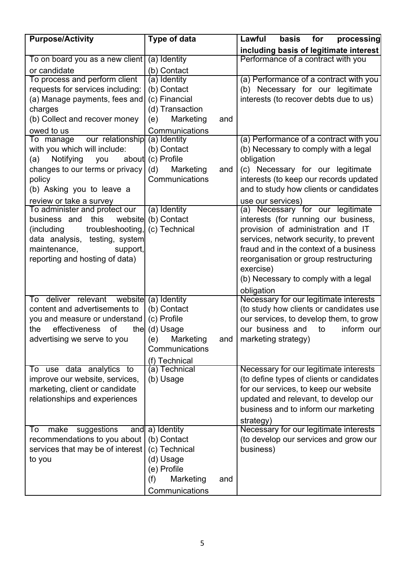| <b>Purpose/Activity</b>                                    | <b>Type of data</b>                |     | Lawful<br>basis<br>for<br>processing                          |
|------------------------------------------------------------|------------------------------------|-----|---------------------------------------------------------------|
|                                                            |                                    |     | including basis of legitimate interest                        |
| To on board you as a new client                            | (a) Identity                       |     | Performance of a contract with you                            |
| or candidate                                               | (b) Contact                        |     |                                                               |
| To process and perform client                              | (a) Identity                       |     | (a) Performance of a contract with you                        |
| requests for services including:                           | (b) Contact                        |     | (b) Necessary for our legitimate                              |
| (a) Manage payments, fees and                              | (c) Financial                      |     | interests (to recover debts due to us)                        |
| charges                                                    | (d) Transaction                    |     |                                                               |
| (b) Collect and recover money                              | Marketing<br>(e)                   | and |                                                               |
| owed to us                                                 | Communications                     |     |                                                               |
| our relationship<br>$\overline{To}$ manage                 | (a) Identity                       |     | (a) Performance of a contract with you                        |
| with you which will include:                               | (b) Contact                        |     | (b) Necessary to comply with a legal                          |
| Notifying<br>(a)<br>about<br>you                           | (c) Profile                        |     | obligation                                                    |
| changes to our terms or privacy                            | (d)<br>Marketing                   | and | (c) Necessary for our legitimate                              |
| policy                                                     | Communications                     |     | interests (to keep our records updated                        |
| (b) Asking you to leave a                                  |                                    |     | and to study how clients or candidates                        |
| review or take a survey                                    |                                    |     | use our services)                                             |
| To administer and protect our                              | (a) Identity                       |     | (a) Necessary for our legitimate                              |
| this<br>business and                                       | website (b) Contact                |     | interests (for running our business,                          |
| troubleshooting,<br>(including                             | (c) Technical                      |     | provision of administration and IT                            |
| data analysis, testing, system                             |                                    |     | services, network security, to prevent                        |
| maintenance,<br>support,                                   |                                    |     | fraud and in the context of a business                        |
| reporting and hosting of data)                             |                                    |     | reorganisation or group restructuring                         |
|                                                            |                                    |     | exercise)                                                     |
|                                                            |                                    |     | (b) Necessary to comply with a legal                          |
|                                                            |                                    |     | obligation                                                    |
| To deliver relevant website (a) Identity                   |                                    |     | Necessary for our legitimate interests                        |
| content and advertisements to                              | (b) Contact                        |     | (to study how clients or candidates use                       |
| you and measure or understand                              | (c) Profile                        |     | our services, to develop them, to grow<br>our business and to |
| effectiveness<br>of<br>the                                 | the (d) Usage                      |     | inform our<br>marketing strategy)                             |
| advertising we serve to you                                | (e)<br>Marketing<br>Communications | and |                                                               |
|                                                            |                                    |     |                                                               |
|                                                            | (f) Technical                      |     | Necessary for our legitimate interests                        |
| To use data analytics to<br>improve our website, services, | (a) Technical<br>(b) Usage         |     | (to define types of clients or candidates                     |
| marketing, client or candidate                             |                                    |     | for our services, to keep our website                         |
| relationships and experiences                              |                                    |     | updated and relevant, to develop our                          |
|                                                            |                                    |     | business and to inform our marketing                          |
|                                                            |                                    |     |                                                               |
|                                                            | and a) Identity                    |     | strategy)<br>Necessary for our legitimate interests           |
| suggestions<br>make<br>To<br>recommendations to you about  | (b) Contact                        |     | (to develop our services and grow our                         |
| services that may be of interest                           | (c) Technical                      |     | business)                                                     |
| to you                                                     | (d) Usage                          |     |                                                               |
|                                                            | (e) Profile                        |     |                                                               |
|                                                            | Marketing<br>(f)                   | and |                                                               |
|                                                            |                                    |     |                                                               |
|                                                            | Communications                     |     |                                                               |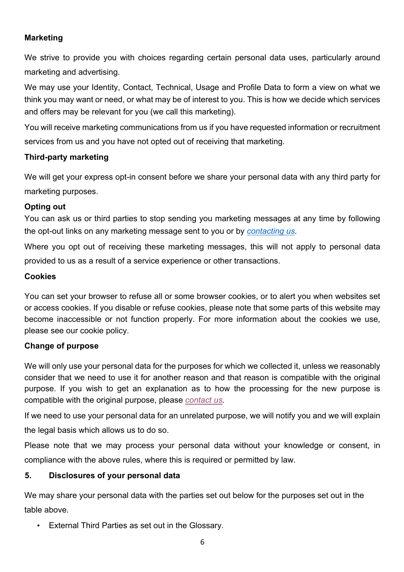## **Marketing**

We strive to provide you with choices regarding certain personal data uses, particularly around marketing and advertising.

We may use your Identity, Contact, Technical, Usage and Profile Data to form a view on what we think you may want or need, or what may be of interest to you. This is how we decide which services and offers may be relevant for you (we call this marketing).

You will receive marketing communications from us if you have requested information or recruitment services from us and you have not opted out of receiving that marketing.

## **Third-party marketing**

We will get your express opt-in consent before we share your personal data with any third party for marketing purposes.

#### **Opting out**

You can ask us or third parties to stop sending you marketing messages at any time by following the opt-out links on any marketing message sent to you or by *contacting us.*

Where you opt out of receiving these marketing messages, this will not apply to personal data provided to us as a result of a service experience or other transactions.

#### **Cookies**

You can set your browser to refuse all or some browser cookies, or to alert you when websites set or access cookies. If you disable or refuse cookies, please note that some parts of this website may become inaccessible or not function properly. For more information about the cookies we use, please see our cookie policy.

## **Change of purpose**

We will only use your personal data for the purposes for which we collected it, unless we reasonably consider that we need to use it for another reason and that reason is compatible with the original purpose. If you wish to get an explanation as to how the processing for the new purpose is compatible with the original purpose, please *contact us.*

If we need to use your personal data for an unrelated purpose, we will notify you and we will explain the legal basis which allows us to do so.

Please note that we may process your personal data without your knowledge or consent, in compliance with the above rules, where this is required or permitted by law.

## **5. Disclosures of your personal data**

We may share your personal data with the parties set out below for the purposes set out in the table above.

• External Third Parties as set out in the Glossary.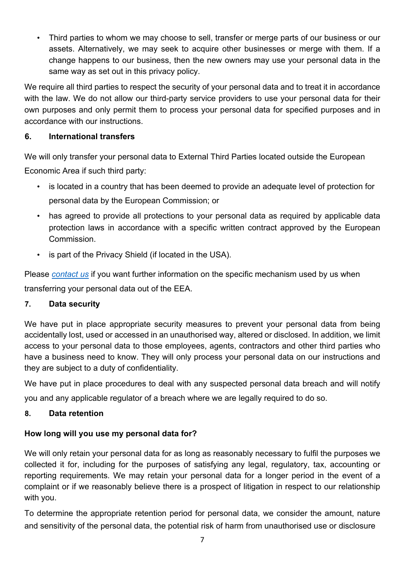• Third parties to whom we may choose to sell, transfer or merge parts of our business or our assets. Alternatively, we may seek to acquire other businesses or merge with them. If a change happens to our business, then the new owners may use your personal data in the same way as set out in this privacy policy.

We require all third parties to respect the security of your personal data and to treat it in accordance with the law. We do not allow our third-party service providers to use your personal data for their own purposes and only permit them to process your personal data for specified purposes and in accordance with our instructions.

#### **6. International transfers**

We will only transfer your personal data to External Third Parties located outside the European Economic Area if such third party:

- is located in a country that has been deemed to provide an adequate level of protection for personal data by the European Commission; or
- has agreed to provide all protections to your personal data as required by applicable data protection laws in accordance with a specific written contract approved by the European **Commission**
- is part of the Privacy Shield (if located in the USA).

Please *contact us* if you want further information on the specific mechanism used by us when transferring your personal data out of the EEA.

## **7. Data security**

We have put in place appropriate security measures to prevent your personal data from being accidentally lost, used or accessed in an unauthorised way, altered or disclosed. In addition, we limit access to your personal data to those employees, agents, contractors and other third parties who have a business need to know. They will only process your personal data on our instructions and they are subject to a duty of confidentiality.

We have put in place procedures to deal with any suspected personal data breach and will notify you and any applicable regulator of a breach where we are legally required to do so.

#### **8. Data retention**

## **How long will you use my personal data for?**

We will only retain your personal data for as long as reasonably necessary to fulfil the purposes we collected it for, including for the purposes of satisfying any legal, regulatory, tax, accounting or reporting requirements. We may retain your personal data for a longer period in the event of a complaint or if we reasonably believe there is a prospect of litigation in respect to our relationship with you.

To determine the appropriate retention period for personal data, we consider the amount, nature and sensitivity of the personal data, the potential risk of harm from unauthorised use or disclosure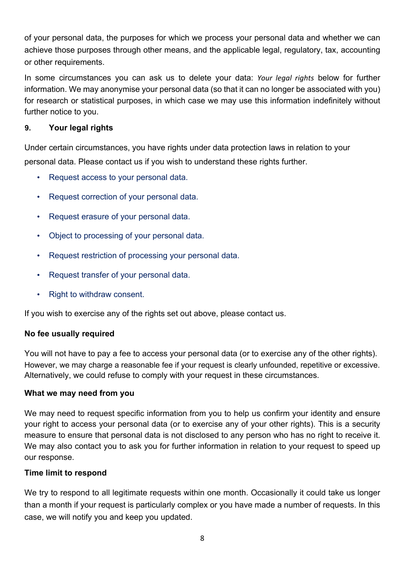of your personal data, the purposes for which we process your personal data and whether we can achieve those purposes through other means, and the applicable legal, regulatory, tax, accounting or other requirements.

In some circumstances you can ask us to delete your data: *Your legal rights* below for further information. We may anonymise your personal data (so that it can no longer be associated with you) for research or statistical purposes, in which case we may use this information indefinitely without further notice to you.

#### **9. Your legal rights**

Under certain circumstances, you have rights under data protection laws in relation to your personal data. Please contact us if you wish to understand these rights further.

- Request access to your personal data.
- Request correction of your personal data.
- Request erasure of your personal data.
- Object to processing of your personal data.
- Request restriction of processing your personal data.
- Request transfer of your personal data.
- Right to withdraw consent.

If you wish to exercise any of the rights set out above, please contact us.

#### **No fee usually required**

You will not have to pay a fee to access your personal data (or to exercise any of the other rights). However, we may charge a reasonable fee if your request is clearly unfounded, repetitive or excessive. Alternatively, we could refuse to comply with your request in these circumstances.

#### **What we may need from you**

We may need to request specific information from you to help us confirm your identity and ensure your right to access your personal data (or to exercise any of your other rights). This is a security measure to ensure that personal data is not disclosed to any person who has no right to receive it. We may also contact you to ask you for further information in relation to your request to speed up our response.

#### **Time limit to respond**

We try to respond to all legitimate requests within one month. Occasionally it could take us longer than a month if your request is particularly complex or you have made a number of requests. In this case, we will notify you and keep you updated.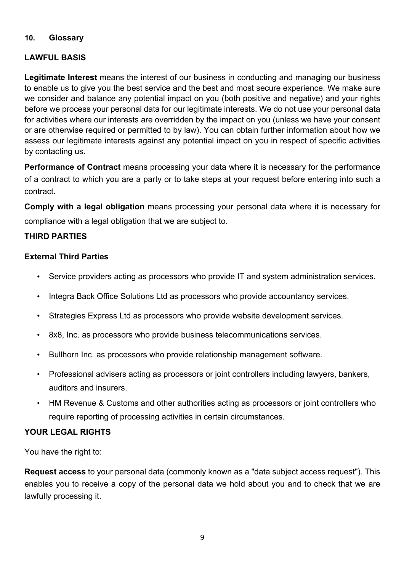#### **10. Glossary**

## **LAWFUL BASIS**

**Legitimate Interest** means the interest of our business in conducting and managing our business to enable us to give you the best service and the best and most secure experience. We make sure we consider and balance any potential impact on you (both positive and negative) and your rights before we process your personal data for our legitimate interests. We do not use your personal data for activities where our interests are overridden by the impact on you (unless we have your consent or are otherwise required or permitted to by law). You can obtain further information about how we assess our legitimate interests against any potential impact on you in respect of specific activities by contacting us.

**Performance of Contract** means processing your data where it is necessary for the performance of a contract to which you are a party or to take steps at your request before entering into such a contract.

**Comply with a legal obligation** means processing your personal data where it is necessary for compliance with a legal obligation that we are subject to.

#### **THIRD PARTIES**

#### **External Third Parties**

- Service providers acting as processors who provide IT and system administration services.
- Integra Back Office Solutions Ltd as processors who provide accountancy services.
- Strategies Express Ltd as processors who provide website development services.
- 8x8, Inc. as processors who provide business telecommunications services.
- Bullhorn Inc. as processors who provide relationship management software.
- Professional advisers acting as processors or joint controllers including lawyers, bankers, auditors and insurers.
- HM Revenue & Customs and other authorities acting as processors or joint controllers who require reporting of processing activities in certain circumstances.

#### **YOUR LEGAL RIGHTS**

You have the right to:

**Request access** to your personal data (commonly known as a "data subject access request"). This enables you to receive a copy of the personal data we hold about you and to check that we are lawfully processing it.